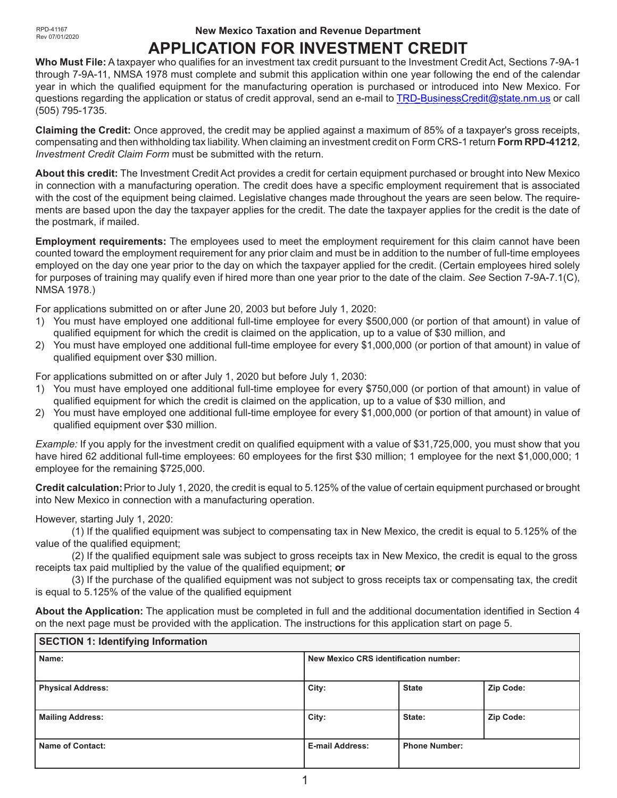#### **New Mexico Taxation and Revenue Department**

# **APPLICATION FOR INVESTMENT CREDIT**

**Who Must File:** A taxpayer who qualifies for an investment tax credit pursuant to the Investment Credit Act, Sections 7-9A-1 through 7-9A-11, NMSA 1978 must complete and submit this application within one year following the end of the calendar year in which the qualified equipment for the manufacturing operation is purchased or introduced into New Mexico. For questions regarding the application or status of credit approval, send an e-mail to TRD-BusinessCredit@state.nm.us or call (505) 795-1735.

**Claiming the Credit:** Once approved, the credit may be applied against a maximum of 85% of a taxpayer's gross receipts, compensating and then withholding tax liability.When claiming an investment credit on Form CRS-1 return **Form RPD-41212**, *Investment Credit Claim Form* must be submitted with the return.

**About this credit:** The Investment Credit Act provides a credit for certain equipment purchased or brought into New Mexico in connection with a manufacturing operation. The credit does have a specific employment requirement that is associated with the cost of the equipment being claimed. Legislative changes made throughout the years are seen below. The requirements are based upon the day the taxpayer applies for the credit. The date the taxpayer applies for the credit is the date of the postmark, if mailed.

**Employment requirements:** The employees used to meet the employment requirement for this claim cannot have been counted toward the employment requirement for any prior claim and must be in addition to the number of full-time employees employed on the day one year prior to the day on which the taxpayer applied for the credit. (Certain employees hired solely for purposes of training may qualify even if hired more than one year prior to the date of the claim. *See* Section 7-9A-7.1(C), NMSA 1978.)

For applications submitted on or after June 20, 2003 but before July 1, 2020:

- 1) You must have employed one additional full-time employee for every \$500,000 (or portion of that amount) in value of qualified equipment for which the credit is claimed on the application, up to a value of \$30 million, and
- 2) You must have employed one additional full-time employee for every \$1,000,000 (or portion of that amount) in value of qualified equipment over \$30 million.

For applications submitted on or after July 1, 2020 but before July 1, 2030:

- 1) You must have employed one additional full-time employee for every \$750,000 (or portion of that amount) in value of qualified equipment for which the credit is claimed on the application, up to a value of \$30 million, and
- 2) You must have employed one additional full-time employee for every \$1,000,000 (or portion of that amount) in value of qualified equipment over \$30 million.

*Example:* If you apply for the investment credit on qualified equipment with a value of \$31,725,000, you must show that you have hired 62 additional full-time employees: 60 employees for the first \$30 million; 1 employee for the next \$1,000,000; 1 employee for the remaining \$725,000.

**Credit calculation:**Prior to July 1, 2020, the credit is equal to 5.125% of the value of certain equipment purchased or brought into New Mexico in connection with a manufacturing operation.

#### However, starting July 1, 2020:

(1) If the qualified equipment was subject to compensating tax in New Mexico, the credit is equal to 5.125% of the value of the qualified equipment;

(2) If the qualified equipment sale was subject to gross receipts tax in New Mexico, the credit is equal to the gross receipts tax paid multiplied by the value of the qualified equipment; **or**

(3) If the purchase of the qualified equipment was not subject to gross receipts tax or compensating tax, the credit is equal to 5.125% of the value of the qualified equipment

**About the Application:** The application must be completed in full and the additional documentation identified in Section 4 on the next page must be provided with the application. The instructions for this application start on page 5.

| <b>SECTION 1: Identifying Information</b> |                                       |                      |           |  |
|-------------------------------------------|---------------------------------------|----------------------|-----------|--|
| Name:                                     | New Mexico CRS identification number: |                      |           |  |
| <b>Physical Address:</b>                  | City:                                 | <b>State</b>         | Zip Code: |  |
| <b>Mailing Address:</b>                   | City:                                 | State:               | Zip Code: |  |
| Name of Contact:                          | <b>E-mail Address:</b>                | <b>Phone Number:</b> |           |  |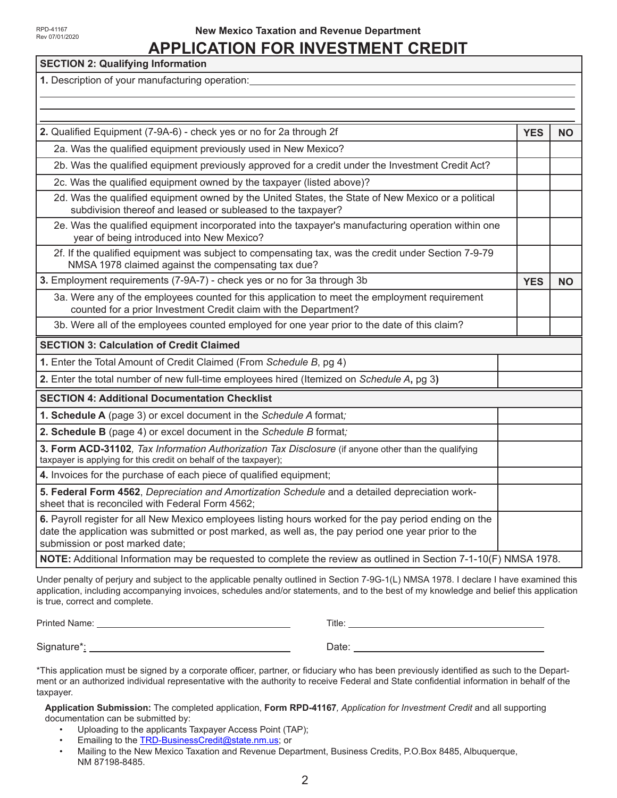#### **New Mexico Taxation and Revenue Department**

# **APPLICATION FOR INVESTMENT CREDIT**

| <b>SECTION 2: Qualifying Information</b>                                                                                                                                                                                                         |            |           |
|--------------------------------------------------------------------------------------------------------------------------------------------------------------------------------------------------------------------------------------------------|------------|-----------|
| 1. Description of your manufacturing operation:                                                                                                                                                                                                  |            |           |
|                                                                                                                                                                                                                                                  |            |           |
|                                                                                                                                                                                                                                                  |            |           |
| 2. Qualified Equipment (7-9A-6) - check yes or no for 2a through 2f                                                                                                                                                                              | <b>YES</b> | <b>NO</b> |
| 2a. Was the qualified equipment previously used in New Mexico?                                                                                                                                                                                   |            |           |
| 2b. Was the qualified equipment previously approved for a credit under the Investment Credit Act?                                                                                                                                                |            |           |
| 2c. Was the qualified equipment owned by the taxpayer (listed above)?                                                                                                                                                                            |            |           |
| 2d. Was the qualified equipment owned by the United States, the State of New Mexico or a political<br>subdivision thereof and leased or subleased to the taxpayer?                                                                               |            |           |
| 2e. Was the qualified equipment incorporated into the taxpayer's manufacturing operation within one<br>year of being introduced into New Mexico?                                                                                                 |            |           |
| 2f. If the qualified equipment was subject to compensating tax, was the credit under Section 7-9-79<br>NMSA 1978 claimed against the compensating tax due?                                                                                       |            |           |
| 3. Employment requirements (7-9A-7) - check yes or no for 3a through 3b                                                                                                                                                                          | <b>YES</b> | <b>NO</b> |
| 3a. Were any of the employees counted for this application to meet the employment requirement<br>counted for a prior Investment Credit claim with the Department?                                                                                |            |           |
| 3b. Were all of the employees counted employed for one year prior to the date of this claim?                                                                                                                                                     |            |           |
| <b>SECTION 3: Calculation of Credit Claimed</b>                                                                                                                                                                                                  |            |           |
| 1. Enter the Total Amount of Credit Claimed (From Schedule B, pg 4)                                                                                                                                                                              |            |           |
| 2. Enter the total number of new full-time employees hired (Itemized on Schedule A, pg 3)                                                                                                                                                        |            |           |
| <b>SECTION 4: Additional Documentation Checklist</b>                                                                                                                                                                                             |            |           |
| 1. Schedule A (page 3) or excel document in the Schedule A format;                                                                                                                                                                               |            |           |
| 2. Schedule B (page 4) or excel document in the Schedule B format;                                                                                                                                                                               |            |           |
| 3. Form ACD-31102, Tax Information Authorization Tax Disclosure (if anyone other than the qualifying<br>taxpayer is applying for this credit on behalf of the taxpayer);                                                                         |            |           |
| 4. Invoices for the purchase of each piece of qualified equipment;                                                                                                                                                                               |            |           |
| 5. Federal Form 4562, Depreciation and Amortization Schedule and a detailed depreciation work-<br>sheet that is reconciled with Federal Form 4562;                                                                                               |            |           |
| 6. Payroll register for all New Mexico employees listing hours worked for the pay period ending on the<br>date the application was submitted or post marked, as well as, the pay period one year prior to the<br>submission or post marked date; |            |           |
| NOTE: Additional Information may be requested to complete the review as outlined in Section 7-1-10(F) NMSA 1978.                                                                                                                                 |            |           |

Under penalty of perjury and subject to the applicable penalty outlined in Section 7-9G-1(L) NMSA 1978. I declare I have examined this application, including accompanying invoices, schedules and/or statements, and to the best of my knowledge and belief this application is true, correct and complete.

Printed Name: Title:

Signature\*: Date:

\*This application must be signed by a corporate officer, partner, or fiduciary who has been previously identified as such to the Department or an authorized individual representative with the authority to receive Federal and State confidential information in behalf of the taxpayer.

**Application Submission:** The completed application, **Form RPD-41167***, Application for Investment Credit* and all supporting documentation can be submitted by:

- Uploading to the applicants Taxpayer Access Point (TAP);
- Emailing to the **TRD-BusinessCredit@state.nm.us**; or
- Mailing to the New Mexico Taxation and Revenue Department, Business Credits, P.O.Box 8485, Albuquerque, NM 87198-8485.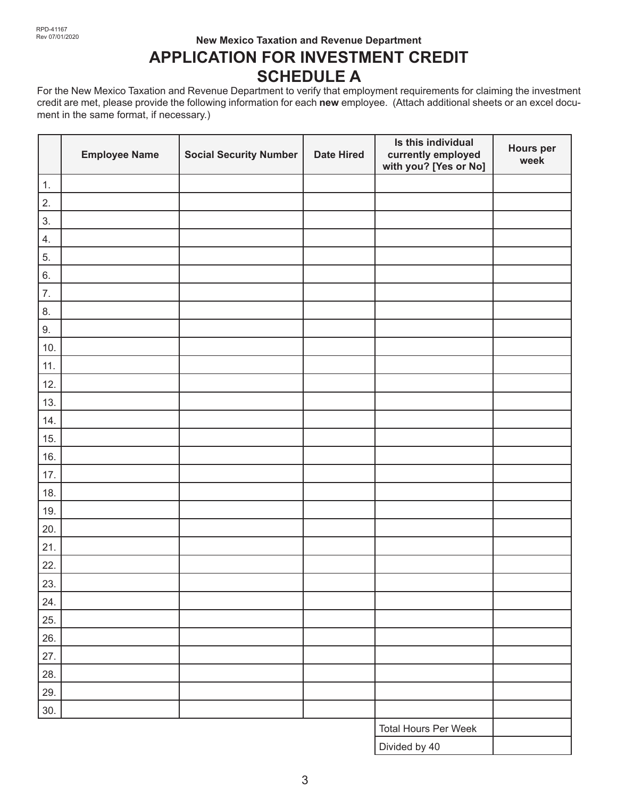## **New Mexico Taxation and Revenue Department APPLICATION FOR INVESTMENT CREDIT**

## **SCHEDULE A**

For the New Mexico Taxation and Revenue Department to verify that employment requirements for claiming the investment credit are met, please provide the following information for each **new** employee. (Attach additional sheets or an excel document in the same format, if necessary.)

|                  | <b>Employee Name</b> | <b>Social Security Number</b> | <b>Date Hired</b> | Is this individual<br>currently employed<br>with you? [Yes or No] | <b>Hours per</b><br>week |
|------------------|----------------------|-------------------------------|-------------------|-------------------------------------------------------------------|--------------------------|
| 1.               |                      |                               |                   |                                                                   |                          |
| 2.               |                      |                               |                   |                                                                   |                          |
| 3.               |                      |                               |                   |                                                                   |                          |
| 4.               |                      |                               |                   |                                                                   |                          |
| 5.               |                      |                               |                   |                                                                   |                          |
| 6.               |                      |                               |                   |                                                                   |                          |
| $\overline{7}$ . |                      |                               |                   |                                                                   |                          |
| 8.               |                      |                               |                   |                                                                   |                          |
| 9.               |                      |                               |                   |                                                                   |                          |
| 10.              |                      |                               |                   |                                                                   |                          |
| 11.              |                      |                               |                   |                                                                   |                          |
| 12.              |                      |                               |                   |                                                                   |                          |
| 13.              |                      |                               |                   |                                                                   |                          |
| 14.              |                      |                               |                   |                                                                   |                          |
| 15.              |                      |                               |                   |                                                                   |                          |
| 16.              |                      |                               |                   |                                                                   |                          |
| 17.              |                      |                               |                   |                                                                   |                          |
| 18.              |                      |                               |                   |                                                                   |                          |
| 19.              |                      |                               |                   |                                                                   |                          |
| 20.              |                      |                               |                   |                                                                   |                          |
| 21.              |                      |                               |                   |                                                                   |                          |
| 22.              |                      |                               |                   |                                                                   |                          |
| 23.              |                      |                               |                   |                                                                   |                          |
| 24.              |                      |                               |                   |                                                                   |                          |
| 25.              |                      |                               |                   |                                                                   |                          |
| 26.              |                      |                               |                   |                                                                   |                          |
| 27.              |                      |                               |                   |                                                                   |                          |
| 28.              |                      |                               |                   |                                                                   |                          |
| 29.              |                      |                               |                   |                                                                   |                          |
| 30.              |                      |                               |                   |                                                                   |                          |
|                  |                      |                               |                   | Total Hours Per Week                                              |                          |
|                  |                      |                               |                   | Divided by 40                                                     |                          |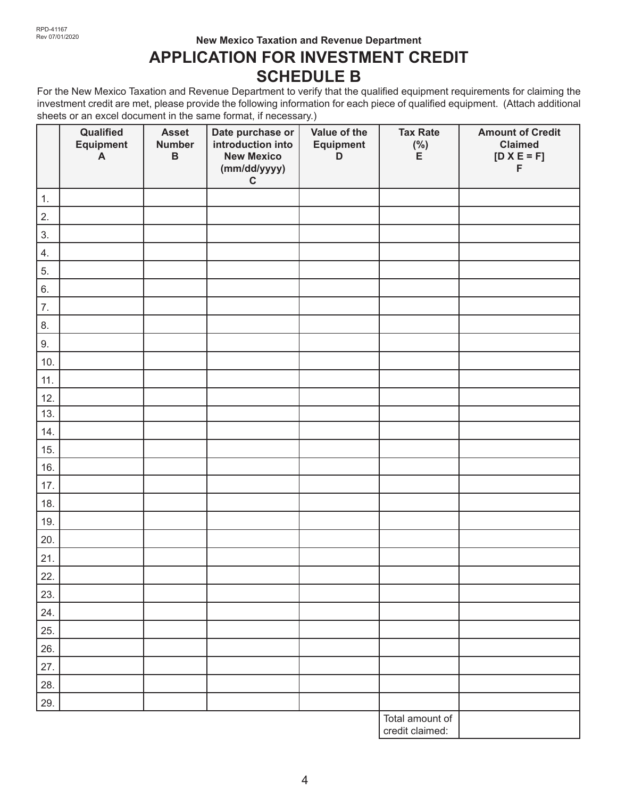#### **New Mexico Taxation and Revenue Department**

# **APPLICATION FOR INVESTMENT CREDIT SCHEDULE B**

For the New Mexico Taxation and Revenue Department to verify that the qualified equipment requirements for claiming the investment credit are met, please provide the following information for each piece of qualified equipment. (Attach additional sheets or an excel document in the same format, if necessary.)

|     | Qualified<br>Equipment<br>$\boldsymbol{\mathsf{A}}$ | <b>Asset</b><br><b>Number</b><br>$\, {\bf B}$ | Date purchase or<br>introduction into<br><b>New Mexico</b><br>(mm/dd/yyyy)<br>$\mathbf C$ | Value of the<br><b>Equipment</b><br>D | <b>Tax Rate</b><br>$(\% )$<br>E    | <b>Amount of Credit</b><br><b>Claimed</b><br>$[D \times E = F]$<br>F |
|-----|-----------------------------------------------------|-----------------------------------------------|-------------------------------------------------------------------------------------------|---------------------------------------|------------------------------------|----------------------------------------------------------------------|
| 1.  |                                                     |                                               |                                                                                           |                                       |                                    |                                                                      |
| 2.  |                                                     |                                               |                                                                                           |                                       |                                    |                                                                      |
| 3.  |                                                     |                                               |                                                                                           |                                       |                                    |                                                                      |
| 4.  |                                                     |                                               |                                                                                           |                                       |                                    |                                                                      |
| 5.  |                                                     |                                               |                                                                                           |                                       |                                    |                                                                      |
| 6.  |                                                     |                                               |                                                                                           |                                       |                                    |                                                                      |
| 7.  |                                                     |                                               |                                                                                           |                                       |                                    |                                                                      |
| 8.  |                                                     |                                               |                                                                                           |                                       |                                    |                                                                      |
| 9.  |                                                     |                                               |                                                                                           |                                       |                                    |                                                                      |
| 10. |                                                     |                                               |                                                                                           |                                       |                                    |                                                                      |
| 11. |                                                     |                                               |                                                                                           |                                       |                                    |                                                                      |
| 12. |                                                     |                                               |                                                                                           |                                       |                                    |                                                                      |
| 13. |                                                     |                                               |                                                                                           |                                       |                                    |                                                                      |
| 14. |                                                     |                                               |                                                                                           |                                       |                                    |                                                                      |
| 15. |                                                     |                                               |                                                                                           |                                       |                                    |                                                                      |
| 16. |                                                     |                                               |                                                                                           |                                       |                                    |                                                                      |
| 17. |                                                     |                                               |                                                                                           |                                       |                                    |                                                                      |
| 18. |                                                     |                                               |                                                                                           |                                       |                                    |                                                                      |
| 19. |                                                     |                                               |                                                                                           |                                       |                                    |                                                                      |
| 20. |                                                     |                                               |                                                                                           |                                       |                                    |                                                                      |
| 21. |                                                     |                                               |                                                                                           |                                       |                                    |                                                                      |
| 22. |                                                     |                                               |                                                                                           |                                       |                                    |                                                                      |
| 23. |                                                     |                                               |                                                                                           |                                       |                                    |                                                                      |
| 24. |                                                     |                                               |                                                                                           |                                       |                                    |                                                                      |
| 25. |                                                     |                                               |                                                                                           |                                       |                                    |                                                                      |
| 26. |                                                     |                                               |                                                                                           |                                       |                                    |                                                                      |
| 27. |                                                     |                                               |                                                                                           |                                       |                                    |                                                                      |
| 28. |                                                     |                                               |                                                                                           |                                       |                                    |                                                                      |
| 29. |                                                     |                                               |                                                                                           |                                       |                                    |                                                                      |
|     |                                                     |                                               |                                                                                           |                                       | Total amount of<br>credit claimed: |                                                                      |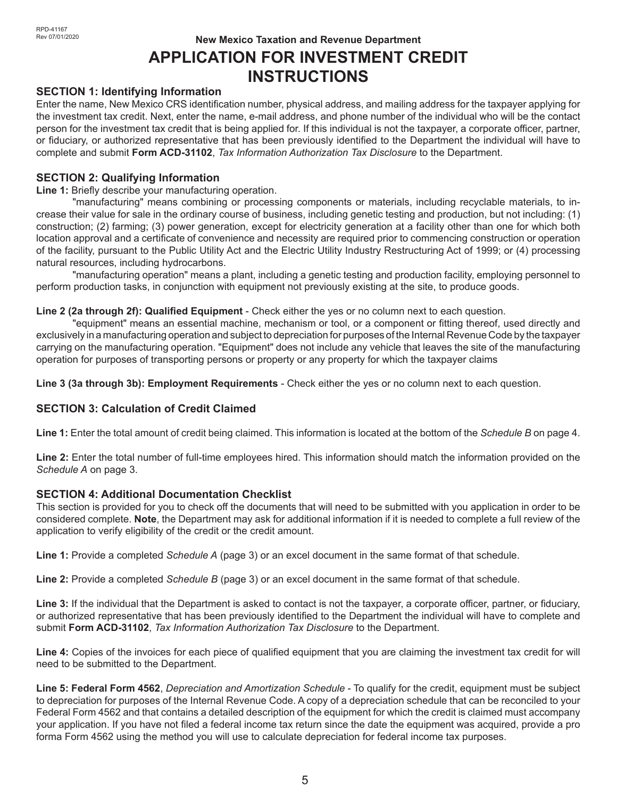# **New Mexico Taxation and Revenue Department APPLICATION FOR INVESTMENT CREDIT INSTRUCTIONS**

#### **SECTION 1: Identifying Information**

Enter the name, New Mexico CRS identification number, physical address, and mailing address for the taxpayer applying for the investment tax credit. Next, enter the name, e-mail address, and phone number of the individual who will be the contact person for the investment tax credit that is being applied for. If this individual is not the taxpayer, a corporate officer, partner, or fiduciary, or authorized representative that has been previously identified to the Department the individual will have to complete and submit **Form ACD-31102**, *Tax Information Authorization Tax Disclosure* to the Department.

#### **SECTION 2: Qualifying Information**

**Line 1:** Briefly describe your manufacturing operation.

"manufacturing" means combining or processing components or materials, including recyclable materials, to increase their value for sale in the ordinary course of business, including genetic testing and production, but not including: (1) construction; (2) farming; (3) power generation, except for electricity generation at a facility other than one for which both location approval and a certificate of convenience and necessity are required prior to commencing construction or operation of the facility, pursuant to the Public Utility Act and the Electric Utility Industry Restructuring Act of 1999; or (4) processing natural resources, including hydrocarbons.

"manufacturing operation" means a plant, including a genetic testing and production facility, employing personnel to perform production tasks, in conjunction with equipment not previously existing at the site, to produce goods.

#### **Line 2 (2a through 2f): Qualified Equipment** - Check either the yes or no column next to each question.

"equipment" means an essential machine, mechanism or tool, or a component or fitting thereof, used directly and exclusively in a manufacturing operation and subject to depreciation for purposes of the Internal Revenue Code by the taxpayer carrying on the manufacturing operation. "Equipment" does not include any vehicle that leaves the site of the manufacturing operation for purposes of transporting persons or property or any property for which the taxpayer claims

**Line 3 (3a through 3b): Employment Requirements** - Check either the yes or no column next to each question.

#### **SECTION 3: Calculation of Credit Claimed**

**Line 1:** Enter the total amount of credit being claimed. This information is located at the bottom of the *Schedule B* on page 4.

**Line 2:** Enter the total number of full-time employees hired. This information should match the information provided on the *Schedule A* on page 3.

#### **SECTION 4: Additional Documentation Checklist**

This section is provided for you to check off the documents that will need to be submitted with you application in order to be considered complete. **Note**, the Department may ask for additional information if it is needed to complete a full review of the application to verify eligibility of the credit or the credit amount.

**Line 1:** Provide a completed *Schedule A* (page 3) or an excel document in the same format of that schedule.

**Line 2:** Provide a completed *Schedule B* (page 3) or an excel document in the same format of that schedule.

**Line 3:** If the individual that the Department is asked to contact is not the taxpayer, a corporate officer, partner, or fiduciary, or authorized representative that has been previously identified to the Department the individual will have to complete and submit **Form ACD-31102**, *Tax Information Authorization Tax Disclosure* to the Department.

**Line 4:** Copies of the invoices for each piece of qualified equipment that you are claiming the investment tax credit for will need to be submitted to the Department.

**Line 5: Federal Form 4562**, *Depreciation and Amortization Schedule* - To qualify for the credit, equipment must be subject to depreciation for purposes of the Internal Revenue Code. A copy of a depreciation schedule that can be reconciled to your Federal Form 4562 and that contains a detailed description of the equipment for which the credit is claimed must accompany your application. If you have not filed a federal income tax return since the date the equipment was acquired, provide a pro forma Form 4562 using the method you will use to calculate depreciation for federal income tax purposes.